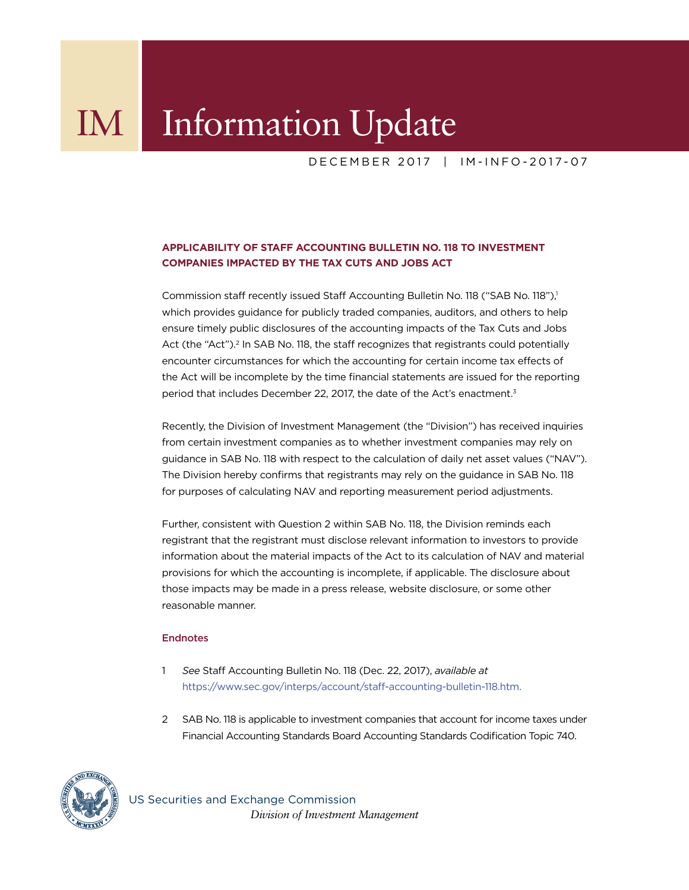## IM Information Update

DECEMBER 2017 | IM-INFO-2017-07

## **APPLICABILITY OF STAFF ACCOUNTING BULLETIN NO. 118 TO INVESTMENT COMPANIES IMPACTED BY THE TAX CUTS AND JOBS ACT**

Commission staff recently issued Staff Accounting Bulletin No. 118 ("SAB No. 118"),<sup>1</sup> which provides guidance for publicly traded companies, auditors, and others to help ensure timely public disclosures of the accounting impacts of the Tax Cuts and Jobs Act (the "Act").<sup>2</sup> In SAB No. 118, the staff recognizes that registrants could potentially encounter circumstances for which the accounting for certain income tax effects of the Act will be incomplete by the time financial statements are issued for the reporting period that includes December 22, 2017, the date of the Act's enactment.<sup>3</sup>

Recently, the Division of Investment Management (the "Division") has received inquiries from certain investment companies as to whether investment companies may rely on guidance in SAB No. 118 with respect to the calculation of daily net asset values ("NAV"). The Division hereby confirms that registrants may rely on the guidance in SAB No. 118 for purposes of calculating NAV and reporting measurement period adjustments.

Further, consistent with Question 2 within SAB No. 118, the Division reminds each registrant that the registrant must disclose relevant information to investors to provide information about the material impacts of the Act to its calculation of NAV and material provisions for which the accounting is incomplete, if applicable. The disclosure about those impacts may be made in a press release, website disclosure, or some other reasonable manner.

## Endnotes

- 1 *See* Staff Accounting Bulletin No. 118 (Dec. 22, 2017), *available at* https://www.sec.gov/interps/account/staff-accounting-bulletin-118.htm.
- 2 SAB No. 118 is applicable to investment companies that account for income taxes under Financial Accounting Standards Board Accounting Standards Codification Topic 740.



US Securities and Exchange Commission  *Division of Investment Management*